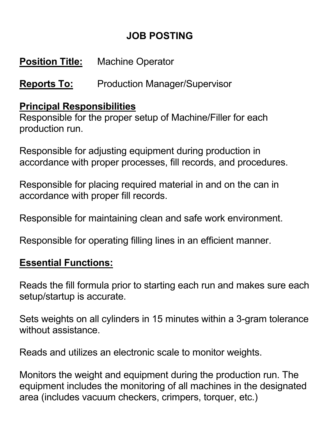# **JOB POSTING**

**Position Title:** Machine Operator

**Reports To:** Production Manager/Supervisor

#### **Principal Responsibilities**

Responsible for the proper setup of Machine/Filler for each production run.

Responsible for adjusting equipment during production in accordance with proper processes, fill records, and procedures.

Responsible for placing required material in and on the can in accordance with proper fill records.

Responsible for maintaining clean and safe work environment.

Responsible for operating filling lines in an efficient manner.

## **Essential Functions:**

Reads the fill formula prior to starting each run and makes sure each setup/startup is accurate.

Sets weights on all cylinders in 15 minutes within a 3-gram tolerance without assistance.

Reads and utilizes an electronic scale to monitor weights.

Monitors the weight and equipment during the production run. The equipment includes the monitoring of all machines in the designated area (includes vacuum checkers, crimpers, torquer, etc.)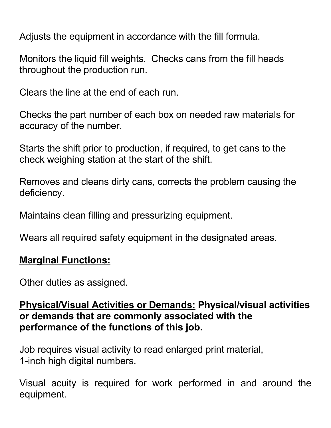Adjusts the equipment in accordance with the fill formula.

Monitors the liquid fill weights. Checks cans from the fill heads throughout the production run.

Clears the line at the end of each run.

Checks the part number of each box on needed raw materials for accuracy of the number.

Starts the shift prior to production, if required, to get cans to the check weighing station at the start of the shift.

Removes and cleans dirty cans, corrects the problem causing the deficiency.

Maintains clean filling and pressurizing equipment.

Wears all required safety equipment in the designated areas.

#### **Marginal Functions:**

Other duties as assigned.

### **Physical/Visual Activities or Demands: Physical/visual activities or demands that are commonly associated with the performance of the functions of this job.**

Job requires visual activity to read enlarged print material, 1-inch high digital numbers.

Visual acuity is required for work performed in and around the equipment.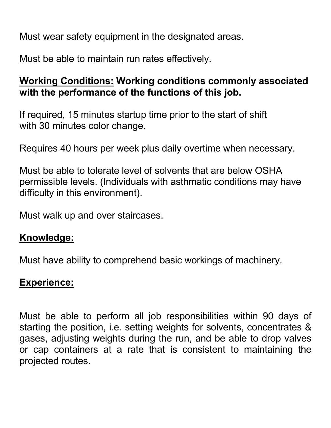Must wear safety equipment in the designated areas.

Must be able to maintain run rates effectively.

## **Working Conditions: Working conditions commonly associated with the performance of the functions of this job.**

If required, 15 minutes startup time prior to the start of shift with 30 minutes color change.

Requires 40 hours per week plus daily overtime when necessary.

Must be able to tolerate level of solvents that are below OSHA permissible levels. (Individuals with asthmatic conditions may have difficulty in this environment).

Must walk up and over staircases.

#### **Knowledge:**

Must have ability to comprehend basic workings of machinery.

#### **Experience:**

Must be able to perform all job responsibilities within 90 days of starting the position, i.e. setting weights for solvents, concentrates & gases, adjusting weights during the run, and be able to drop valves or cap containers at a rate that is consistent to maintaining the projected routes.